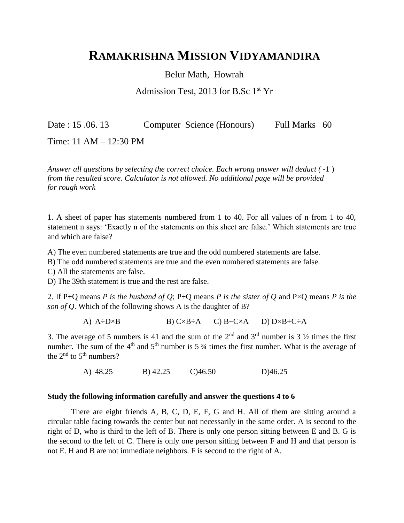## **RAMAKRISHNA MISSION VIDYAMANDIRA**

Belur Math, Howrah

Admission Test, 2013 for B.Sc  $1<sup>st</sup>$  Yr

Date : 15.06.13 Computer Science (Honours) Full Marks 60

Time: 11 AM – 12:30 PM

*Answer all questions by selecting the correct choice. Each wrong answer will deduct (-1) from the resulted score. Calculator is not allowed. No additional page will be provided for rough work*

1. A sheet of paper has statements numbered from 1 to 40. For all values of n from 1 to 40, statement n says: 'Exactly n of the statements on this sheet are false.' Which statements are true and which are false?

A) The even numbered statements are true and the odd numbered statements are false.

B) The odd numbered statements are true and the even numbered statements are false.

C) All the statements are false.

D) The 39th statement is true and the rest are false.

2. If P+Q means *P is the husband of Q*; P÷Q means *P is the sister of Q* and P×Q means *P is the son of Q*. Which of the following shows A is the daughter of B?

A)  $A \div D \times B$  B)  $C \times B \div A$  C)  $B + C \times A$  D)  $D \times B + C \div A$ 

3. The average of 5 numbers is 41 and the sum of the  $2<sup>nd</sup>$  and  $3<sup>rd</sup>$  number is 3  $\frac{1}{2}$  times the first number. The sum of the  $4<sup>th</sup>$  and  $5<sup>th</sup>$  number is 5  $\frac{3}{4}$  times the first number. What is the average of the  $2<sup>nd</sup>$  to  $5<sup>th</sup>$  numbers?

A) 48.25 B) 42.25 C)46.50 D)46.25

## **Study the following information carefully and answer the questions 4 to 6**

There are eight friends A, B, C, D, E, F, G and H. All of them are sitting around a circular table facing towards the center but not necessarily in the same order. A is second to the right of D, who is third to the left of B. There is only one person sitting between E and B. G is the second to the left of C. There is only one person sitting between F and H and that person is not E. H and B are not immediate neighbors. F is second to the right of A.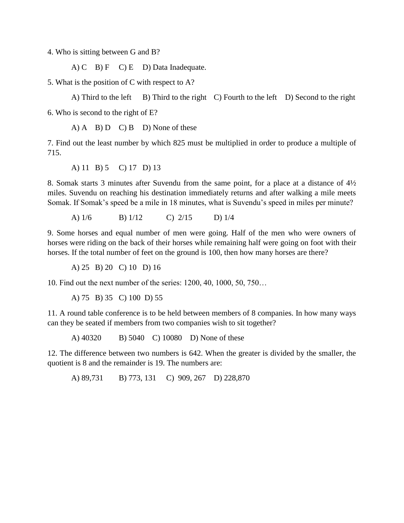4. Who is sitting between G and B?

A) C B)  $F$  C) E D) Data Inadequate.

5. What is the position of C with respect to A?

A) Third to the left  $\mid$  B) Third to the right C) Fourth to the left D) Second to the right

6. Who is second to the right of E?

 $(A)$  A  $(B)$  D  $(C)$  B  $(D)$  None of these

7. Find out the least number by which 825 must be multiplied in order to produce a multiple of 715.

A) 11 B) 5 C) 17 D) 13

8. Somak starts 3 minutes after Suvendu from the same point, for a place at a distance of 4½ miles. Suvendu on reaching his destination immediately returns and after walking a mile meets Somak. If Somak's speed be a mile in 18 minutes, what is Suvendu's speed in miles per minute?

A) 1/6 B) 1/12 C) 2/15 D) 1/4

9. Some horses and equal number of men were going. Half of the men who were owners of horses were riding on the back of their horses while remaining half were going on foot with their horses. If the total number of feet on the ground is 100, then how many horses are there?

A) 25 B) 20 C) 10 D) 16

10. Find out the next number of the series: 1200, 40, 1000, 50, 750…

A) 75 B) 35 C) 100 D) 55

11. A round table conference is to be held between members of 8 companies. In how many ways can they be seated if members from two companies wish to sit together?

A) 40320 B) 5040 C) 10080 D) None of these

12. The difference between two numbers is 642. When the greater is divided by the smaller, the quotient is 8 and the remainder is 19. The numbers are:

A) 89,731 B) 773, 131 C) 909, 267 D) 228,870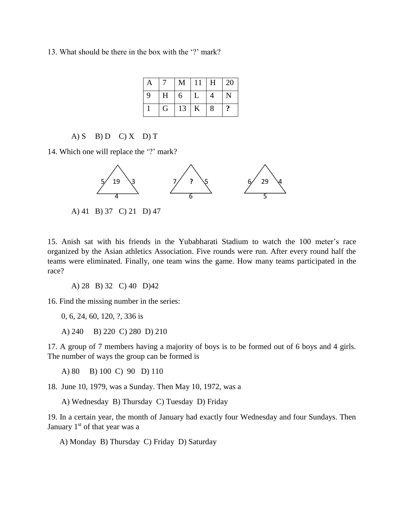13. What should be there in the box with the '?' mark?

| $\mathbf{A}$ | 7 | M  | $\mid$ 11 | H              | $\vert$ 20            |
|--------------|---|----|-----------|----------------|-----------------------|
| 9            | H | 16 | L         | $\overline{4}$ | $\mathbf N$           |
|              | G | 13 | $\vert K$ | 8              | $\boldsymbol{\gamma}$ |

A) S B) D C) X D) T

14. Which one will replace the '?' mark?



A) 41 B) 37 C) 21 D) 47

15. Anish sat with his friends in the Yubabharati Stadium to watch the 100 meter's race organized by the Asian athletics Association. Five rounds were run. After every round half the teams were eliminated. Finally, one team wins the game. How many teams participated in the race?

A) 28 B) 32 C) 40 D)42

16. Find the missing number in the series:

0, 6, 24, 60, 120, ?, 336 is

A) 240 B) 220 C) 280 D) 210

17. A group of 7 members having a majority of boys is to be formed out of 6 boys and 4 girls. The number of ways the group can be formed is

A) 80 B) 100 C) 90 D) 110

18. June 10, 1979, was a Sunday. Then May 10, 1972, was a

A) Wednesday B) Thursday C) Tuesday D) Friday

19. In a certain year, the month of January had exactly four Wednesday and four Sundays. Then January  $1<sup>st</sup>$  of that year was a

A) Monday B) Thursday C) Friday D) Saturday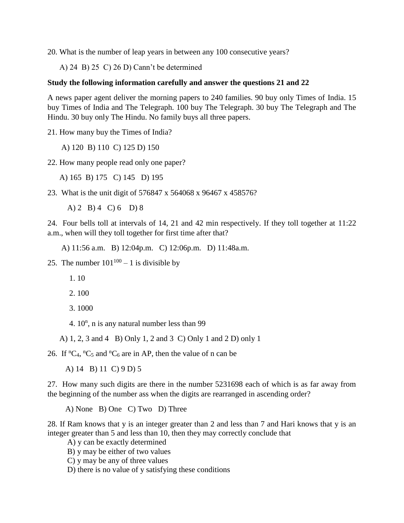20. What is the number of leap years in between any 100 consecutive years?

A) 24 B) 25 C) 26 D) Cann't be determined

## **Study the following information carefully and answer the questions 21 and 22**

A news paper agent deliver the morning papers to 240 families. 90 buy only Times of India. 15 buy Times of India and The Telegraph. 100 buy The Telegraph. 30 buy The Telegraph and The Hindu. 30 buy only The Hindu. No family buys all three papers.

21. How many buy the Times of India?

A) 120 B) 110 C) 125 D) 150

22. How many people read only one paper?

A) 165 B) 175 C) 145 D) 195

23. What is the unit digit of 576847 x 564068 x 96467 x 458576?

A) 2 B) 4 C) 6 D) 8

24. Four bells toll at intervals of 14, 21 and 42 min respectively. If they toll together at 11:22 a.m., when will they toll together for first time after that?

A) 11:56 a.m. B) 12:04p.m. C) 12:06p.m. D) 11:48a.m.

25. The number  $101^{100} - 1$  is divisible by

1. 10

2. 100

3. 1000

4.  $10^n$ , n is any natural number less than 99

A) 1, 2, 3 and 4 B) Only 1, 2 and 3 C) Only 1 and 2 D) only 1

26. If  ${}^nC_4$ ,  ${}^nC_5$  and  ${}^nC_6$  are in AP, then the value of n can be

A) 14 B) 11 C) 9 D) 5

27. How many such digits are there in the number 5231698 each of which is as far away from the beginning of the number ass when the digits are rearranged in ascending order?

A) None B) One C) Two D) Three

28. If Ram knows that y is an integer greater than 2 and less than 7 and Hari knows that y is an integer greater than 5 and less than 10, then they may correctly conclude that

A) y can be exactly determined

- B) y may be either of two values
- C) y may be any of three values
- D) there is no value of y satisfying these conditions